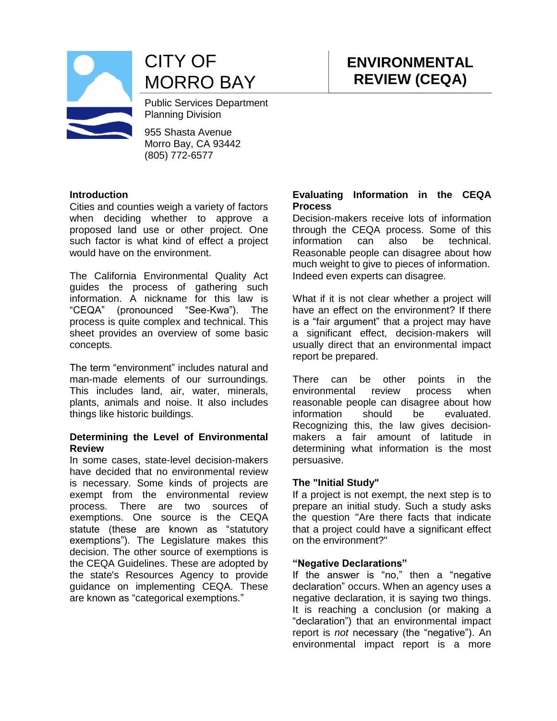

CITY OF MORRO BAY

Public Services Department Planning Division

955 Shasta Avenue Morro Bay, CA 93442 (805) 772-6577

# **Introduction**

Cities and counties weigh a variety of factors when deciding whether to approve a proposed land use or other project. One such factor is what kind of effect a project would have on the environment.

The California Environmental Quality Act guides the process of gathering such information. A nickname for this law is "CEQA" (pronounced "See-Kwa"). The process is quite complex and technical. This sheet provides an overview of some basic concepts.

The term "environment" includes natural and man-made elements of our surroundings. This includes land, air, water, minerals, plants, animals and noise. It also includes things like historic buildings.

# **Determining the Level of Environmental Review**

In some cases, state-level decision-makers have decided that no environmental review is necessary. Some kinds of projects are exempt from the environmental review process. There are two sources of exemptions. One source is the CEQA statute (these are known as "statutory exemptions"). The Legislature makes this decision. The other source of exemptions is the CEQA Guidelines. These are adopted by the state's Resources Agency to provide guidance on implementing CEQA. These are known as "categorical exemptions."

# **Evaluating Information in the CEQA Process**

**ENVIRONMENTAL REVIEW (CEQA)**

Decision-makers receive lots of information through the CEQA process. Some of this information can also be technical. Reasonable people can disagree about how much weight to give to pieces of information. Indeed even experts can disagree.

What if it is not clear whether a project will have an effect on the environment? If there is a "fair argument" that a project may have a significant effect, decision-makers will usually direct that an environmental impact report be prepared.

There can be other points in the environmental review process when reasonable people can disagree about how information should be evaluated. Recognizing this, the law gives decisionmakers a fair amount of latitude in determining what information is the most persuasive.

#### **The "Initial Study"**

If a project is not exempt, the next step is to prepare an initial study. Such a study asks the question "Are there facts that indicate that a project could have a significant effect on the environment?"

#### **"Negative Declarations"**

If the answer is "no," then a "negative declaration" occurs. When an agency uses a negative declaration, it is saying two things. It is reaching a conclusion (or making a "declaration") that an environmental impact report is *not* necessary (the "negative"). An environmental impact report is a more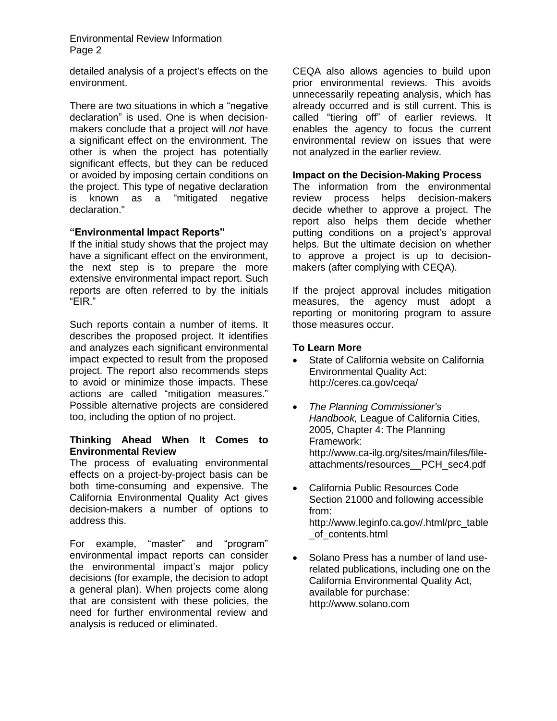Environmental Review Information Page 2

detailed analysis of a project's effects on the environment.

There are two situations in which a "negative declaration" is used. One is when decisionmakers conclude that a project will *not* have a significant effect on the environment. The other is when the project has potentially significant effects, but they can be reduced or avoided by imposing certain conditions on the project. This type of negative declaration is known as a "mitigated negative declaration."

# **"Environmental Impact Reports"**

If the initial study shows that the project may have a significant effect on the environment, the next step is to prepare the more extensive environmental impact report. Such reports are often referred to by the initials "EIR."

Such reports contain a number of items. It describes the proposed project. It identifies and analyzes each significant environmental impact expected to result from the proposed project. The report also recommends steps to avoid or minimize those impacts. These actions are called "mitigation measures." Possible alternative projects are considered too, including the option of no project.

## **Thinking Ahead When It Comes to Environmental Review**

The process of evaluating environmental effects on a project-by-project basis can be both time-consuming and expensive. The California Environmental Quality Act gives decision-makers a number of options to address this.

For example, "master" and "program" environmental impact reports can consider the environmental impact's major policy decisions (for example, the decision to adopt a general plan). When projects come along that are consistent with these policies, the need for further environmental review and analysis is reduced or eliminated.

CEQA also allows agencies to build upon prior environmental reviews. This avoids unnecessarily repeating analysis, which has already occurred and is still current. This is called "tiering off" of earlier reviews. It enables the agency to focus the current environmental review on issues that were not analyzed in the earlier review.

## **Impact on the Decision-Making Process**

The information from the environmental review process helps decision-makers decide whether to approve a project. The report also helps them decide whether putting conditions on a project's approval helps. But the ultimate decision on whether to approve a project is up to decisionmakers (after complying with CEQA).

If the project approval includes mitigation measures, the agency must adopt a reporting or monitoring program to assure those measures occur.

# **To Learn More**

- State of California website on California Environmental Quality Act: http://ceres.ca.gov/ceqa/
- *The Planning Commissioner's Handbook,* League of California Cities, 2005, Chapter 4: The Planning Framework: http://www.ca-ilg.org/sites/main/files/fileattachments/resources\_\_PCH\_sec4.pdf
- California Public Resources Code Section 21000 and following accessible from: http://www.leginfo.ca.gov/.html/prc\_table \_of\_contents.html
- Solano Press has a number of land userelated publications, including one on the California Environmental Quality Act, available for purchase: http://www.solano.com